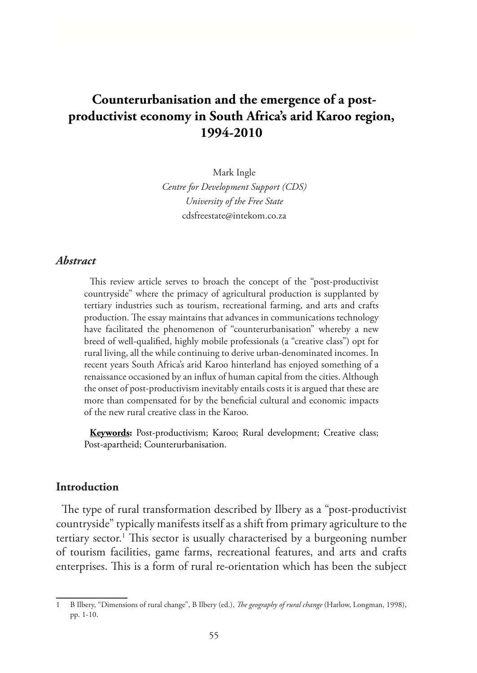# **Counterurbanisation and the emergence of a postproductivist economy in South Africa's arid Karoo region, 1994-2010**

Mark Ingle *Centre for Development Support (CDS) University of the Free State* cdsfreestate@intekom.co.za

### *Abstract*

This review article serves to broach the concept of the "post-productivist countryside" where the primacy of agricultural production is supplanted by tertiary industries such as tourism, recreational farming, and arts and crafts production. The essay maintains that advances in communications technology have facilitated the phenomenon of "counterurbanisation" whereby a new breed of well-qualified, highly mobile professionals (a "creative class") opt for rural living, all the while continuing to derive urban-denominated incomes. In recent years South Africa's arid Karoo hinterland has enjoyed something of a renaissance occasioned by an influx of human capital from the cities. Although the onset of post-productivism inevitably entails costs it is argued that these are more than compensated for by the beneficial cultural and economic impacts of the new rural creative class in the Karoo.

**Keywords:** Post-productivism; Karoo; Rural development; Creative class; Post-apartheid; Counterurbanisation.

### **Introduction**

The type of rural transformation described by Ilbery as a "post-productivist countryside" typically manifests itself as a shift from primary agriculture to the tertiary sector.<sup>1</sup> This sector is usually characterised by a burgeoning number of tourism facilities, game farms, recreational features, and arts and crafts enterprises. This is a form of rural re-orientation which has been the subject

<sup>1</sup> B Ilbery, "Dimensions of rural change", B Ilbery (ed.), *The geography of rural change* (Harlow, Longman, 1998), pp. 1-10.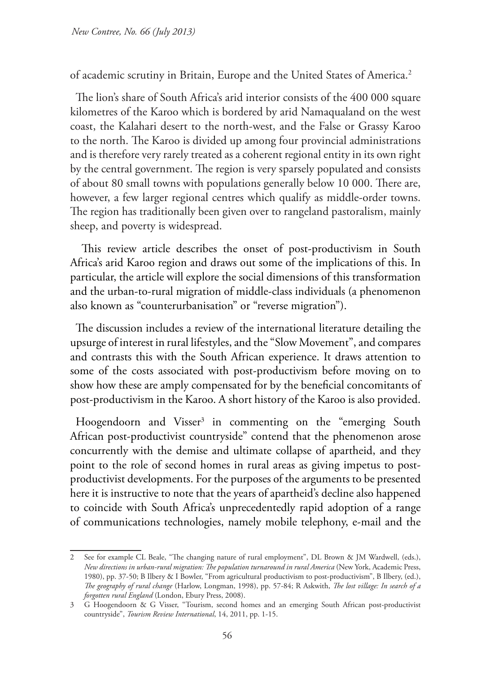of academic scrutiny in Britain, Europe and the United States of America.2

The lion's share of South Africa's arid interior consists of the 400 000 square kilometres of the Karoo which is bordered by arid Namaqualand on the west coast, the Kalahari desert to the north-west, and the False or Grassy Karoo to the north. The Karoo is divided up among four provincial administrations and is therefore very rarely treated as a coherent regional entity in its own right by the central government. The region is very sparsely populated and consists of about 80 small towns with populations generally below 10 000. There are, however, a few larger regional centres which qualify as middle-order towns. The region has traditionally been given over to rangeland pastoralism, mainly sheep, and poverty is widespread.

 This review article describes the onset of post-productivism in South Africa's arid Karoo region and draws out some of the implications of this. In particular, the article will explore the social dimensions of this transformation and the urban-to-rural migration of middle-class individuals (a phenomenon also known as "counterurbanisation" or "reverse migration").

The discussion includes a review of the international literature detailing the upsurge of interest in rural lifestyles, and the "Slow Movement", and compares and contrasts this with the South African experience. It draws attention to some of the costs associated with post-productivism before moving on to show how these are amply compensated for by the beneficial concomitants of post-productivism in the Karoo. A short history of the Karoo is also provided.

Hoogendoorn and Visser<sup>3</sup> in commenting on the "emerging South African post-productivist countryside" contend that the phenomenon arose concurrently with the demise and ultimate collapse of apartheid, and they point to the role of second homes in rural areas as giving impetus to postproductivist developments. For the purposes of the arguments to be presented here it is instructive to note that the years of apartheid's decline also happened to coincide with South Africa's unprecedentedly rapid adoption of a range of communications technologies, namely mobile telephony, e-mail and the

<sup>2</sup> See for example CL Beale, "The changing nature of rural employment", DL Brown & JM Wardwell, (eds.), *New directions in urban-rural migration: The population turnaround in rural America* (New York, Academic Press, 1980), pp. 37-50; B Ilbery & I Bowler, "From agricultural productivism to post-productivism", B Ilbery, (ed.), *The geography of rural change* (Harlow, Longman, 1998), pp. 57-84; R Askwith, *The lost village: In search of a forgotten rural England* (London, Ebury Press, 2008).

<sup>3</sup> G Hoogendoorn & G Visser, "Tourism, second homes and an emerging South African post-productivist countryside", *Tourism Review International*, 14, 2011, pp. 1-15.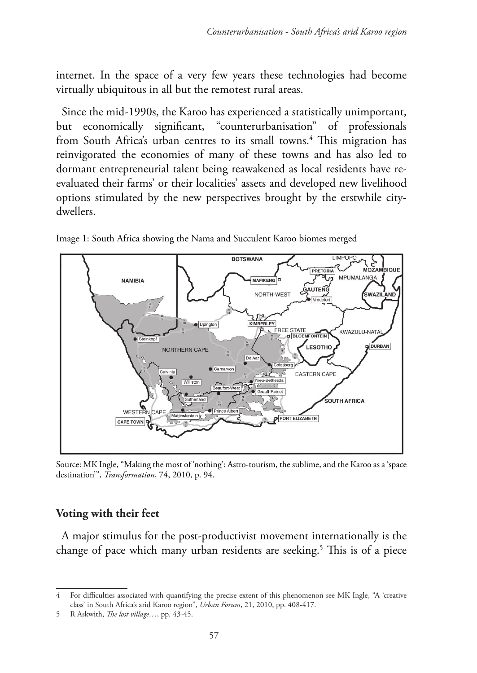internet. In the space of a very few years these technologies had become virtually ubiquitous in all but the remotest rural areas.

Since the mid-1990s, the Karoo has experienced a statistically unimportant, but economically significant, "counterurbanisation" of professionals from South Africa's urban centres to its small towns.<sup>4</sup> This migration has reinvigorated the economies of many of these towns and has also led to dormant entrepreneurial talent being reawakened as local residents have reevaluated their farms' or their localities' assets and developed new livelihood options stimulated by the new perspectives brought by the erstwhile citydwellers.



Image 1: South Africa showing the Nama and Succulent Karoo biomes merged

Source: MK Ingle, "Making the most of 'nothing': Astro-tourism, the sublime, and the Karoo as a 'space destination'", *Transformation*, 74, 2010, p. 94.

# **Voting with their feet**

A major stimulus for the post-productivist movement internationally is the change of pace which many urban residents are seeking.<sup>5</sup> This is of a piece

<sup>4</sup> For difficulties associated with quantifying the precise extent of this phenomenon see MK Ingle, "A 'creative class' in South Africa's arid Karoo region", *Urban Forum*, 21, 2010, pp. 408-417.

<sup>5</sup> R Askwith, *The lost village…*, pp. 43-45.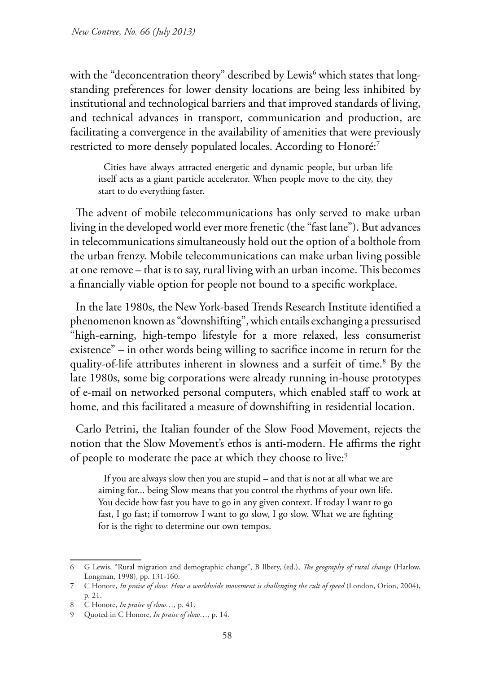with the "deconcentration theory" described by Lewis<sup>6</sup> which states that longstanding preferences for lower density locations are being less inhibited by institutional and technological barriers and that improved standards of living, and technical advances in transport, communication and production, are facilitating a convergence in the availability of amenities that were previously restricted to more densely populated locales. According to Honoré:7

Cities have always attracted energetic and dynamic people, but urban life itself acts as a giant particle accelerator. When people move to the city, they start to do everything faster.

The advent of mobile telecommunications has only served to make urban living in the developed world ever more frenetic (the "fast lane"). But advances in telecommunications simultaneously hold out the option of a bolthole from the urban frenzy. Mobile telecommunications can make urban living possible at one remove – that is to say, rural living with an urban income. This becomes a financially viable option for people not bound to a specific workplace.

In the late 1980s, the New York-based Trends Research Institute identified a phenomenon known as "downshifting", which entails exchanging a pressurised "high-earning, high-tempo lifestyle for a more relaxed, less consumerist existence" – in other words being willing to sacrifice income in return for the quality-of-life attributes inherent in slowness and a surfeit of time.8 By the late 1980s, some big corporations were already running in-house prototypes of e-mail on networked personal computers, which enabled staff to work at home, and this facilitated a measure of downshifting in residential location.

Carlo Petrini, the Italian founder of the Slow Food Movement, rejects the notion that the Slow Movement's ethos is anti-modern. He affirms the right of people to moderate the pace at which they choose to live:<sup>9</sup>

If you are always slow then you are stupid – and that is not at all what we are aiming for... being Slow means that you control the rhythms of your own life. You decide how fast you have to go in any given context. If today I want to go fast, I go fast; if tomorrow I want to go slow, I go slow. What we are fighting for is the right to determine our own tempos.

<sup>6</sup> G Lewis, "Rural migration and demographic change", B Ilbery, (ed.), *The geography of rural change* (Harlow, Longman, 1998), pp. 131-160.

<sup>7</sup> C Honore, *In praise of slow: How a worldwide movement is challenging the cult of speed* (London, Orion, 2004), p. 21.

<sup>8</sup> C Honore, *In praise of slow…,* p. 41.

<sup>9</sup> Quoted in C Honore, *In praise of slow…,* p. 14.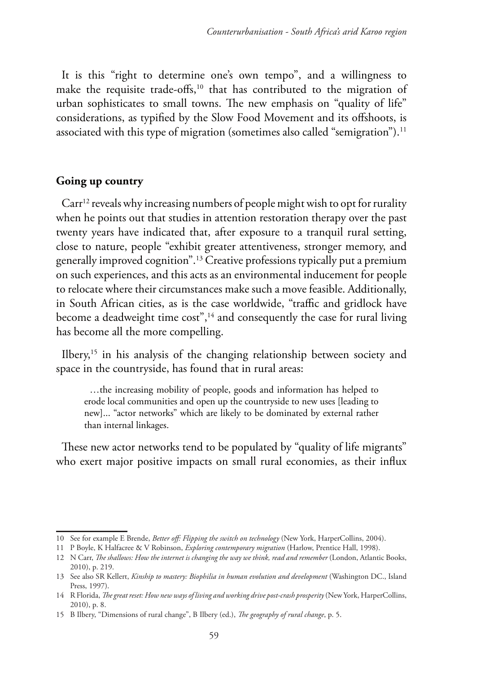It is this "right to determine one's own tempo", and a willingness to make the requisite trade-offs,<sup>10</sup> that has contributed to the migration of urban sophisticates to small towns. The new emphasis on "quality of life" considerations, as typified by the Slow Food Movement and its offshoots, is associated with this type of migration (sometimes also called "semigration").<sup>11</sup>

#### **Going up country**

Carr<sup>12</sup> reveals why increasing numbers of people might wish to opt for rurality when he points out that studies in attention restoration therapy over the past twenty years have indicated that, after exposure to a tranquil rural setting, close to nature, people "exhibit greater attentiveness, stronger memory, and generally improved cognition".13 Creative professions typically put a premium on such experiences, and this acts as an environmental inducement for people to relocate where their circumstances make such a move feasible. Additionally, in South African cities, as is the case worldwide, "traffic and gridlock have become a deadweight time cost",<sup>14</sup> and consequently the case for rural living has become all the more compelling.

Ilbery,<sup>15</sup> in his analysis of the changing relationship between society and space in the countryside, has found that in rural areas:

…the increasing mobility of people, goods and information has helped to erode local communities and open up the countryside to new uses [leading to new]... "actor networks" which are likely to be dominated by external rather than internal linkages.

These new actor networks tend to be populated by "quality of life migrants" who exert major positive impacts on small rural economies, as their influx

<sup>10</sup> See for example E Brende, *Better off: Flipping the switch on technology* (New York, HarperCollins, 2004).

<sup>11</sup> P Boyle, K Halfacree & V Robinson, *Exploring contemporary migration* (Harlow, Prentice Hall, 1998).

<sup>12</sup> N Carr, *The shallows: How the internet is changing the way we think, read and remember* (London, Atlantic Books, 2010), p. 219.

<sup>13</sup> See also SR Kellert, *Kinship to mastery: Biophilia in human evolution and development* (Washington DC., Island Press, 1997).

<sup>14</sup> R Florida, *The great reset: How new ways of living and working drive post-crash prosperity* (New York, HarperCollins, 2010), p. 8.

<sup>15</sup> B Ilbery, "Dimensions of rural change", B Ilbery (ed.), *The geography of rural change*, p. 5.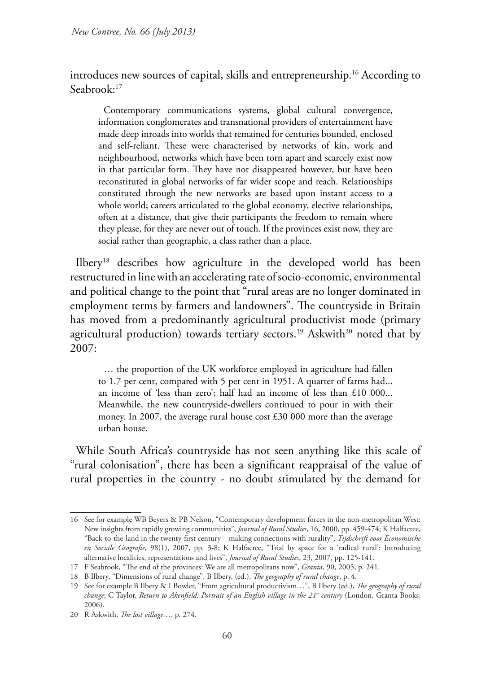introduces new sources of capital, skills and entrepreneurship.<sup>16</sup> According to Seabrook:17

Contemporary communications systems, global cultural convergence, information conglomerates and transnational providers of entertainment have made deep inroads into worlds that remained for centuries bounded, enclosed and self-reliant. These were characterised by networks of kin, work and neighbourhood, networks which have been torn apart and scarcely exist now in that particular form. They have not disappeared however, but have been reconstituted in global networks of far wider scope and reach. Relationships constituted through the new networks are based upon instant access to a whole world; careers articulated to the global economy, elective relationships, often at a distance, that give their participants the freedom to remain where they please, for they are never out of touch. If the provinces exist now, they are social rather than geographic, a class rather than a place.

Ilbery18 describes how agriculture in the developed world has been restructured in line with an accelerating rate of socio-economic, environmental and political change to the point that "rural areas are no longer dominated in employment terms by farmers and landowners". The countryside in Britain has moved from a predominantly agricultural productivist mode (primary agricultural production) towards tertiary sectors.<sup>19</sup> Askwith<sup>20</sup> noted that by 2007:

… the proportion of the UK workforce employed in agriculture had fallen to 1.7 per cent, compared with 5 per cent in 1951. A quarter of farms had... an income of 'less than zero'; half had an income of less than £10 000... Meanwhile, the new countryside-dwellers continued to pour in with their money. In 2007, the average rural house cost £30 000 more than the average urban house.

While South Africa's countryside has not seen anything like this scale of "rural colonisation", there has been a significant reappraisal of the value of rural properties in the country - no doubt stimulated by the demand for

<sup>16</sup> See for example WB Beyers & PB Nelson, "Contemporary development forces in the non-metropolitan West: New insights from rapidly growing communities", *Journal of Rural Studies*, 16, 2000, pp. 459-474; K Halfacree, "Back-to-the-land in the twenty-first century – making connections with rurality", *Tijdschrift voor Economische en Sociale Geografie,* 98(1), 2007, pp. 3-8; K Halfacree, "Trial by space for a 'radical rural': Introducing alternative localities, representations and lives", *Journal of Rural Studies*, 23, 2007, pp. 125-141.

<sup>17</sup> F Seabrook, "The end of the provinces: We are all metropolitans now", *Granta*, 90, 2005, p. 241.

<sup>18</sup> B Ilbery, "Dimensions of rural change", B Ilbery, (ed.), *The geography of rural change*, p. 4.

<sup>19</sup> See for example B Ilbery & I Bowler, "From agricultural productivism…", B Ilbery (ed.), *The geography of rural change*; C Taylor, *Return to Akenfield: Portrait of an English village in the 21<sup>st</sup> century (London, Granta Books,* 2006).

<sup>20</sup> R Askwith, *The lost village…*, p. 274.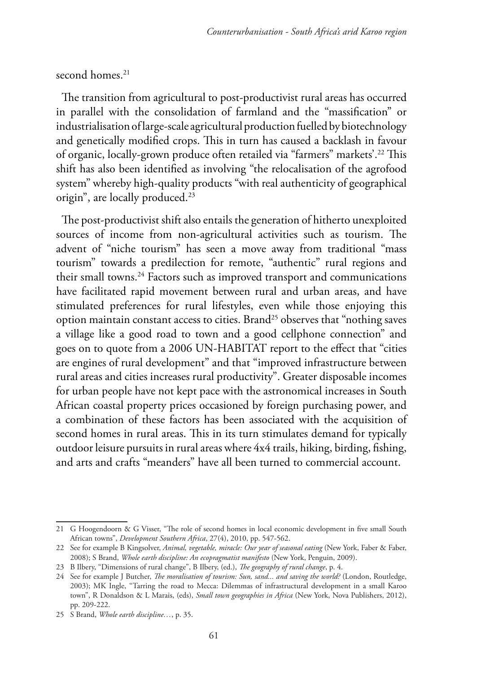## second homes.<sup>21</sup>

The transition from agricultural to post-productivist rural areas has occurred in parallel with the consolidation of farmland and the "massification" or industrialisation of large-scale agricultural production fuelled by biotechnology and genetically modified crops. This in turn has caused a backlash in favour of organic, locally-grown produce often retailed via "farmers" markets'.22 This shift has also been identified as involving "the relocalisation of the agrofood system" whereby high-quality products "with real authenticity of geographical origin", are locally produced.23

The post-productivist shift also entails the generation of hitherto unexploited sources of income from non-agricultural activities such as tourism. The advent of "niche tourism" has seen a move away from traditional "mass tourism" towards a predilection for remote, "authentic" rural regions and their small towns.<sup>24</sup> Factors such as improved transport and communications have facilitated rapid movement between rural and urban areas, and have stimulated preferences for rural lifestyles, even while those enjoying this option maintain constant access to cities. Brand25 observes that "nothing saves a village like a good road to town and a good cellphone connection" and goes on to quote from a 2006 UN-HABITAT report to the effect that "cities are engines of rural development" and that "improved infrastructure between rural areas and cities increases rural productivity". Greater disposable incomes for urban people have not kept pace with the astronomical increases in South African coastal property prices occasioned by foreign purchasing power, and a combination of these factors has been associated with the acquisition of second homes in rural areas. This in its turn stimulates demand for typically outdoor leisure pursuits in rural areas where 4x4 trails, hiking, birding, fishing, and arts and crafts "meanders" have all been turned to commercial account.

<sup>21</sup> G Hoogendoorn & G Visser, "The role of second homes in local economic development in five small South African towns", *Development Southern Africa*, 27(4), 2010, pp. 547-562.

<sup>22</sup> See for example B Kingsolver, *Animal, vegetable, miracle: Our year of seasonal eating* (New York, Faber & Faber, 2008); S Brand, *Whole earth discipline: An ecopragmatist manifesto* (New York, Penguin, 2009).

<sup>23</sup> B Ilbery, "Dimensions of rural change", B Ilbery, (ed.), *The geography of rural change*, p. 4.

<sup>24</sup> See for example J Butcher, *The moralisation of tourism: Sun, sand... and saving the world?* (London, Routledge, 2003); MK Ingle, "Tarring the road to Mecca: Dilemmas of infrastructural development in a small Karoo town", R Donaldson & L Marais, (eds), *Small town geographies in Africa* (New York, Nova Publishers, 2012), pp. 209-222.

<sup>25</sup> S Brand, *Whole earth discipline…*, p. 35.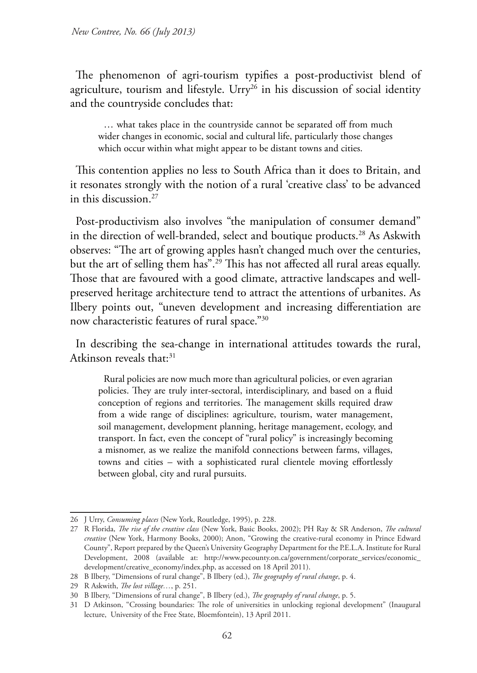The phenomenon of agri-tourism typifies a post-productivist blend of agriculture, tourism and lifestyle. Urry<sup>26</sup> in his discussion of social identity and the countryside concludes that:

… what takes place in the countryside cannot be separated off from much wider changes in economic, social and cultural life, particularly those changes which occur within what might appear to be distant towns and cities.

This contention applies no less to South Africa than it does to Britain, and it resonates strongly with the notion of a rural 'creative class' to be advanced in this discussion.27

Post-productivism also involves "the manipulation of consumer demand" in the direction of well-branded, select and boutique products.<sup>28</sup> As Askwith observes: "The art of growing apples hasn't changed much over the centuries, but the art of selling them has".29 This has not affected all rural areas equally. Those that are favoured with a good climate, attractive landscapes and wellpreserved heritage architecture tend to attract the attentions of urbanites. As Ilbery points out, "uneven development and increasing differentiation are now characteristic features of rural space."30

In describing the sea-change in international attitudes towards the rural, Atkinson reveals that:<sup>31</sup>

Rural policies are now much more than agricultural policies, or even agrarian policies. They are truly inter-sectoral, interdisciplinary, and based on a fluid conception of regions and territories. The management skills required draw from a wide range of disciplines: agriculture, tourism, water management, soil management, development planning, heritage management, ecology, and transport. In fact, even the concept of "rural policy" is increasingly becoming a misnomer, as we realize the manifold connections between farms, villages, towns and cities – with a sophisticated rural clientele moving effortlessly between global, city and rural pursuits.

<sup>26</sup> J Urry, *Consuming places* (New York, Routledge, 1995), p. 228.

<sup>27</sup> R Florida, *The rise of the creative class* (New York, Basic Books, 2002); PH Ray & SR Anderson, *The cultural creative* (New York, Harmony Books, 2000); Anon, "Growing the creative-rural economy in Prince Edward County", Report prepared by the Queen's University Geography Department for the P.E.L.A. Institute for Rural Development, 2008 (available at: http://www.pecounty.on.ca/government/corporate\_services/economic\_ development/creative\_economy/index.php, as accessed on 18 April 2011).

<sup>28</sup> B Ilbery, "Dimensions of rural change", B Ilbery (ed.), *The geography of rural change*, p. 4.

<sup>29</sup> R Askwith, *The lost village…*, p. 251.

<sup>30</sup> B Ilbery, "Dimensions of rural change", B Ilbery (ed.), *The geography of rural change*, p. 5.

<sup>31</sup> D Atkinson, "Crossing boundaries: The role of universities in unlocking regional development" (Inaugural lecture, University of the Free State, Bloemfontein), 13 April 2011.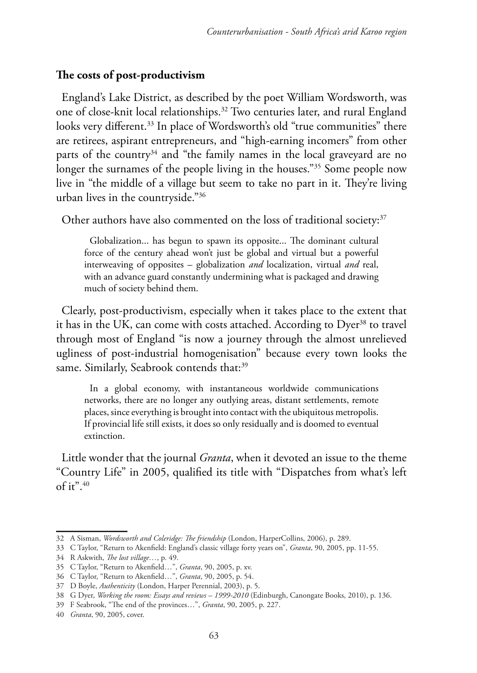# **The costs of post-productivism**

England's Lake District, as described by the poet William Wordsworth, was one of close-knit local relationships.32 Two centuries later, and rural England looks very different.<sup>33</sup> In place of Wordsworth's old "true communities" there are retirees, aspirant entrepreneurs, and "high-earning incomers" from other parts of the country<sup>34</sup> and "the family names in the local graveyard are no longer the surnames of the people living in the houses."35 Some people now live in "the middle of a village but seem to take no part in it. They're living urban lives in the countryside."36

Other authors have also commented on the loss of traditional society:<sup>37</sup>

Globalization... has begun to spawn its opposite... The dominant cultural force of the century ahead won't just be global and virtual but a powerful interweaving of opposites – globalization *and* localization, virtual *and* real, with an advance guard constantly undermining what is packaged and drawing much of society behind them.

Clearly, post-productivism, especially when it takes place to the extent that it has in the UK, can come with costs attached. According to Dyer<sup>38</sup> to travel through most of England "is now a journey through the almost unrelieved ugliness of post-industrial homogenisation" because every town looks the same. Similarly, Seabrook contends that:<sup>39</sup>

In a global economy, with instantaneous worldwide communications networks, there are no longer any outlying areas, distant settlements, remote places, since everything is brought into contact with the ubiquitous metropolis. If provincial life still exists, it does so only residually and is doomed to eventual extinction.

Little wonder that the journal *Granta*, when it devoted an issue to the theme "Country Life" in 2005, qualified its title with "Dispatches from what's left of it". $40$ 

<sup>32</sup> A Sisman, *Wordsworth and Coleridge: The friendship* (London, HarperCollins, 2006), p. 289.

<sup>33</sup> C Taylor, "Return to Akenfield: England's classic village forty years on", *Granta*, 90, 2005, pp. 11-55.

<sup>34</sup> R Askwith, *The lost village…*, p. 49.

<sup>35</sup> C Taylor, "Return to Akenfield…", *Granta*, 90, 2005, p. xv.

<sup>36</sup> C Taylor, "Return to Akenfield…", *Granta*, 90, 2005, p. 54.

<sup>37</sup> D Boyle, *Authenticity* (London, Harper Perennial, 2003), p. 5.

<sup>38</sup> G Dyer, *Working the room: Essays and reviews – 1999-2010* (Edinburgh, Canongate Books, 2010), p. 136.

<sup>39</sup> F Seabrook, "The end of the provinces…", *Granta*, 90, 2005, p. 227.

<sup>40</sup> *Granta*, 90, 2005, cover.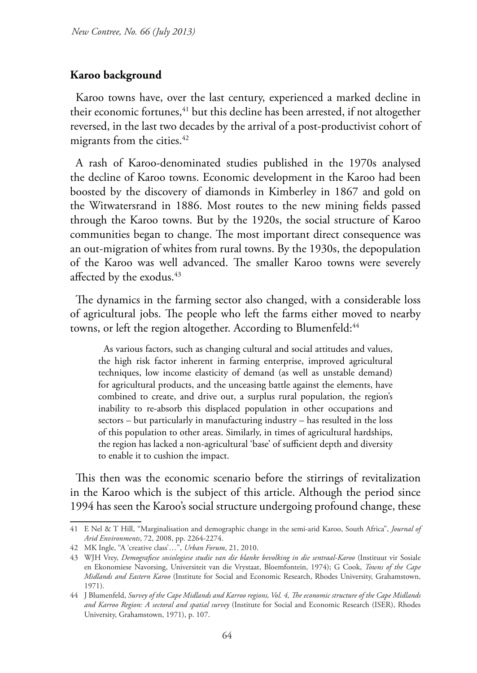### **Karoo background**

Karoo towns have, over the last century, experienced a marked decline in their economic fortunes,<sup>41</sup> but this decline has been arrested, if not altogether reversed, in the last two decades by the arrival of a post-productivist cohort of migrants from the cities.<sup>42</sup>

A rash of Karoo-denominated studies published in the 1970s analysed the decline of Karoo towns. Economic development in the Karoo had been boosted by the discovery of diamonds in Kimberley in 1867 and gold on the Witwatersrand in 1886. Most routes to the new mining fields passed through the Karoo towns. But by the 1920s, the social structure of Karoo communities began to change. The most important direct consequence was an out-migration of whites from rural towns. By the 1930s, the depopulation of the Karoo was well advanced. The smaller Karoo towns were severely affected by the exodus.<sup>43</sup>

The dynamics in the farming sector also changed, with a considerable loss of agricultural jobs. The people who left the farms either moved to nearby towns, or left the region altogether. According to Blumenfeld:<sup>44</sup>

As various factors, such as changing cultural and social attitudes and values, the high risk factor inherent in farming enterprise, improved agricultural techniques, low income elasticity of demand (as well as unstable demand) for agricultural products, and the unceasing battle against the elements, have combined to create, and drive out, a surplus rural population, the region's inability to re-absorb this displaced population in other occupations and sectors – but particularly in manufacturing industry – has resulted in the loss of this population to other areas. Similarly, in times of agricultural hardships, the region has lacked a non-agricultural 'base' of sufficient depth and diversity to enable it to cushion the impact.

This then was the economic scenario before the stirrings of revitalization in the Karoo which is the subject of this article. Although the period since 1994 has seen the Karoo's social structure undergoing profound change, these

<sup>41</sup> E Nel & T Hill, "Marginalisation and demographic change in the semi-arid Karoo, South Africa", *Journal of Arid Environments*, 72, 2008, pp. 2264-2274.

<sup>42</sup> MK Ingle, "A 'creative class'…", *Urban Forum*, 21, 2010.

<sup>43</sup> WJH Vrey, *Demografiese sosiologiese studie van die blanke bevolking in die sentraal-Karoo* (Instituut vir Sosiale en Ekonomiese Navorsing, Universiteit van die Vrystaat, Bloemfontein, 1974); G Cook, *Towns of the Cape Midlands and Eastern Karoo* (Institute for Social and Economic Research, Rhodes University, Grahamstown, 1971).

<sup>44</sup> J Blumenfeld, *Survey of the Cape Midlands and Karroo regions, Vol. 4, The economic structure of the Cape Midlands and Karroo Region: A sectoral and spatial survey* (Institute for Social and Economic Research (ISER), Rhodes University, Grahamstown, 1971), p. 107.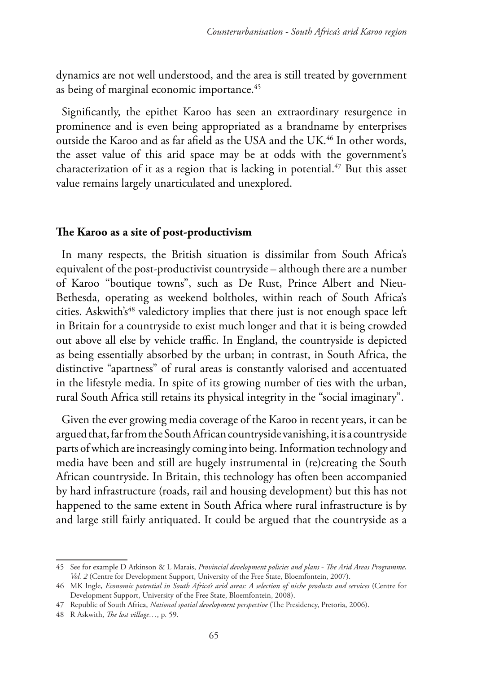dynamics are not well understood, and the area is still treated by government as being of marginal economic importance.<sup>45</sup>

Significantly, the epithet Karoo has seen an extraordinary resurgence in prominence and is even being appropriated as a brandname by enterprises outside the Karoo and as far afield as the USA and the UK.<sup>46</sup> In other words, the asset value of this arid space may be at odds with the government's characterization of it as a region that is lacking in potential.<sup>47</sup> But this asset value remains largely unarticulated and unexplored.

## **The Karoo as a site of post-productivism**

In many respects, the British situation is dissimilar from South Africa's equivalent of the post-productivist countryside – although there are a number of Karoo "boutique towns", such as De Rust, Prince Albert and Nieu-Bethesda, operating as weekend boltholes, within reach of South Africa's cities. Askwith's<sup>48</sup> valedictory implies that there just is not enough space left in Britain for a countryside to exist much longer and that it is being crowded out above all else by vehicle traffic. In England, the countryside is depicted as being essentially absorbed by the urban; in contrast, in South Africa, the distinctive "apartness" of rural areas is constantly valorised and accentuated in the lifestyle media. In spite of its growing number of ties with the urban, rural South Africa still retains its physical integrity in the "social imaginary".

Given the ever growing media coverage of the Karoo in recent years, it can be argued that, far from the South African countryside vanishing, it is a countryside parts of which are increasingly coming into being. Information technology and media have been and still are hugely instrumental in (re)creating the South African countryside. In Britain, this technology has often been accompanied by hard infrastructure (roads, rail and housing development) but this has not happened to the same extent in South Africa where rural infrastructure is by and large still fairly antiquated. It could be argued that the countryside as a

<sup>45</sup> See for example D Atkinson & L Marais, *Provincial development policies and plans - The Arid Areas Programme*, *Vol. 2* (Centre for Development Support, University of the Free State, Bloemfontein, 2007).

<sup>46</sup> MK Ingle, *Economic potential in South Africa's arid areas: A selection of niche products and services* (Centre for Development Support, University of the Free State, Bloemfontein, 2008).

<sup>47</sup> Republic of South Africa, *National spatial development perspective* (The Presidency, Pretoria, 2006).

<sup>48</sup> R Askwith, *The lost village…*, p. 59.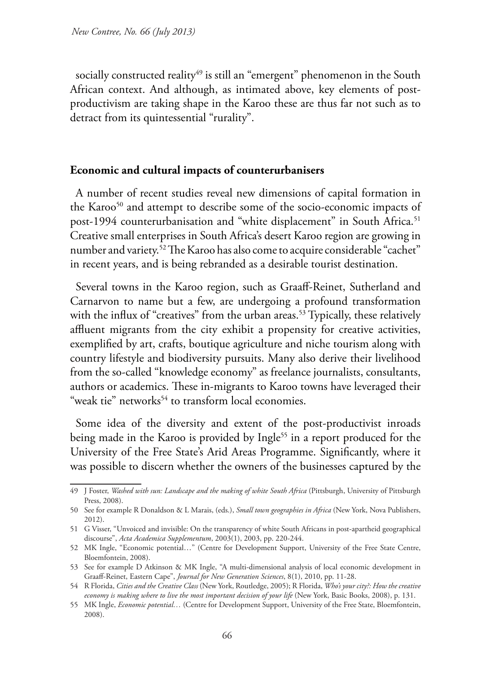socially constructed reality<sup>49</sup> is still an "emergent" phenomenon in the South African context. And although, as intimated above, key elements of postproductivism are taking shape in the Karoo these are thus far not such as to detract from its quintessential "rurality".

# **Economic and cultural impacts of counterurbanisers**

A number of recent studies reveal new dimensions of capital formation in the Karoo<sup>50</sup> and attempt to describe some of the socio-economic impacts of post-1994 counterurbanisation and "white displacement" in South Africa.<sup>51</sup> Creative small enterprises in South Africa's desert Karoo region are growing in number and variety.52 The Karoo has also come to acquire considerable "cachet" in recent years, and is being rebranded as a desirable tourist destination.

Several towns in the Karoo region, such as Graaff-Reinet, Sutherland and Carnarvon to name but a few, are undergoing a profound transformation with the influx of "creatives" from the urban areas.<sup>53</sup> Typically, these relatively affluent migrants from the city exhibit a propensity for creative activities, exemplified by art, crafts, boutique agriculture and niche tourism along with country lifestyle and biodiversity pursuits. Many also derive their livelihood from the so-called "knowledge economy" as freelance journalists, consultants, authors or academics. These in-migrants to Karoo towns have leveraged their "weak tie" networks<sup>54</sup> to transform local economies.

Some idea of the diversity and extent of the post-productivist inroads being made in the Karoo is provided by Ingle<sup>55</sup> in a report produced for the University of the Free State's Arid Areas Programme. Significantly, where it was possible to discern whether the owners of the businesses captured by the

<sup>49</sup> J Foster, *Washed with sun: Landscape and the making of white South Africa* (Pittsburgh, University of Pittsburgh Press, 2008).

<sup>50</sup> See for example R Donaldson & L Marais, (eds.), *Small town geographies in Africa* (New York, Nova Publishers, 2012).

<sup>51</sup> G Visser, "Unvoiced and invisible: On the transparency of white South Africans in post-apartheid geographical discourse", *Acta Academica Supplementum*, 2003(1), 2003, pp. 220-244.

<sup>52</sup> MK Ingle, "Economic potential…" (Centre for Development Support, University of the Free State Centre, Bloemfontein, 2008).

<sup>53</sup> See for example D Atkinson & MK Ingle, "A multi-dimensional analysis of local economic development in Graaff-Reinet, Eastern Cape", *Journal for New Generation Sciences*, 8(1), 2010, pp. 11-28.

<sup>54</sup> R Florida, *Cities and the Creative Class* (New York, Routledge, 2005); R Florida, *Who's your city?: How the creative economy is making where to live the most important decision of your life* (New York, Basic Books, 2008), p. 131.

<sup>55</sup> MK Ingle, *Economic potential…* (Centre for Development Support, University of the Free State, Bloemfontein, 2008).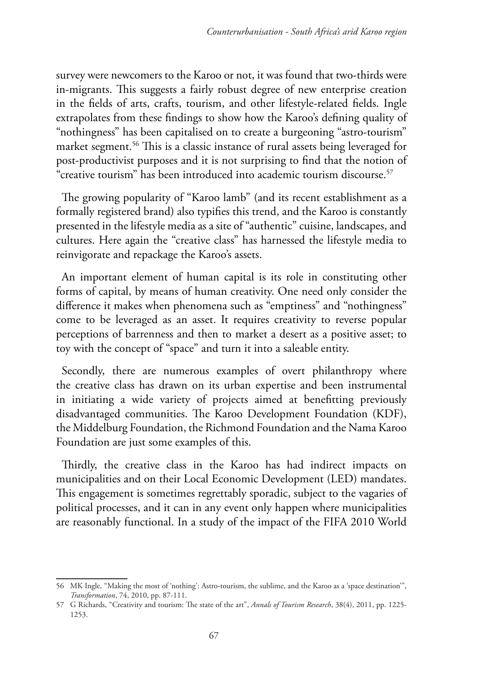survey were newcomers to the Karoo or not, it was found that two-thirds were in-migrants. This suggests a fairly robust degree of new enterprise creation in the fields of arts, crafts, tourism, and other lifestyle-related fields. Ingle extrapolates from these findings to show how the Karoo's defining quality of "nothingness" has been capitalised on to create a burgeoning "astro-tourism" market segment.56 This is a classic instance of rural assets being leveraged for post-productivist purposes and it is not surprising to find that the notion of "creative tourism" has been introduced into academic tourism discourse.<sup>57</sup>

The growing popularity of "Karoo lamb" (and its recent establishment as a formally registered brand) also typifies this trend, and the Karoo is constantly presented in the lifestyle media as a site of "authentic" cuisine, landscapes, and cultures. Here again the "creative class" has harnessed the lifestyle media to reinvigorate and repackage the Karoo's assets.

An important element of human capital is its role in constituting other forms of capital, by means of human creativity. One need only consider the difference it makes when phenomena such as "emptiness" and "nothingness" come to be leveraged as an asset. It requires creativity to reverse popular perceptions of barrenness and then to market a desert as a positive asset; to toy with the concept of "space" and turn it into a saleable entity.

Secondly, there are numerous examples of overt philanthropy where the creative class has drawn on its urban expertise and been instrumental in initiating a wide variety of projects aimed at benefitting previously disadvantaged communities. The Karoo Development Foundation (KDF), the Middelburg Foundation, the Richmond Foundation and the Nama Karoo Foundation are just some examples of this.

Thirdly, the creative class in the Karoo has had indirect impacts on municipalities and on their Local Economic Development (LED) mandates. This engagement is sometimes regrettably sporadic, subject to the vagaries of political processes, and it can in any event only happen where municipalities are reasonably functional. In a study of the impact of the FIFA 2010 World

<sup>56</sup> MK Ingle, "Making the most of 'nothing': Astro-tourism, the sublime, and the Karoo as a 'space destination'", *Transformation*, 74, 2010, pp. 87-111.

<sup>57</sup> G Richards, "Creativity and tourism: The state of the art", *Annals of Tourism Research*, 38(4), 2011, pp. 1225- 1253.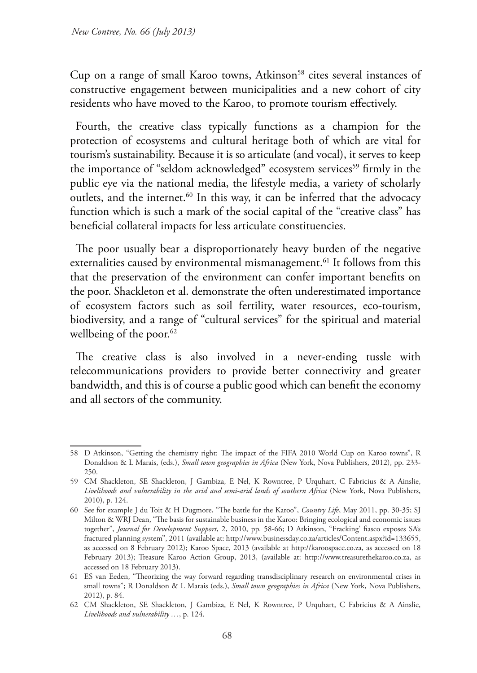Cup on a range of small Karoo towns, Atkinson<sup>58</sup> cites several instances of constructive engagement between municipalities and a new cohort of city residents who have moved to the Karoo, to promote tourism effectively.

Fourth, the creative class typically functions as a champion for the protection of ecosystems and cultural heritage both of which are vital for tourism's sustainability. Because it is so articulate (and vocal), it serves to keep the importance of "seldom acknowledged" ecosystem services<sup>59</sup> firmly in the public eye via the national media, the lifestyle media, a variety of scholarly outlets, and the internet.<sup>60</sup> In this way, it can be inferred that the advocacy function which is such a mark of the social capital of the "creative class" has beneficial collateral impacts for less articulate constituencies.

The poor usually bear a disproportionately heavy burden of the negative externalities caused by environmental mismanagement.<sup>61</sup> It follows from this that the preservation of the environment can confer important benefits on the poor. Shackleton et al. demonstrate the often underestimated importance of ecosystem factors such as soil fertility, water resources, eco-tourism, biodiversity, and a range of "cultural services" for the spiritual and material wellbeing of the poor.<sup>62</sup>

The creative class is also involved in a never-ending tussle with telecommunications providers to provide better connectivity and greater bandwidth, and this is of course a public good which can benefit the economy and all sectors of the community.

<sup>58</sup> D Atkinson, "Getting the chemistry right: The impact of the FIFA 2010 World Cup on Karoo towns", R Donaldson & L Marais, (eds.), *Small town geographies in Africa* (New York, Nova Publishers, 2012), pp. 233- 250.

<sup>59</sup> CM Shackleton, SE Shackleton, J Gambiza, E Nel, K Rowntree, P Urquhart, C Fabricius & A Ainslie, *Livelihoods and vulnerability in the arid and semi-arid lands of southern Africa* (New York, Nova Publishers, 2010), p. 124.

<sup>60</sup> See for example J du Toit & H Dugmore, "The battle for the Karoo", *Country Life*, May 2011, pp. 30-35; SJ Milton & WRJ Dean, "The basis for sustainable business in the Karoo: Bringing ecological and economic issues together", *Journal for Development Support*, 2, 2010, pp. 58-66; D Atkinson, "Fracking' fiasco exposes SA's fractured planning system", 2011 (available at: http://www.businessday.co.za/articles/Content.aspx?id=133655, as accessed on 8 February 2012); Karoo Space, 2013 (available at http://karoospace.co.za, as accessed on 18 February 2013); Treasure Karoo Action Group, 2013, (available at: http://www.treasurethekaroo.co.za, as accessed on 18 February 2013).

<sup>61</sup> ES van Eeden, "Theorizing the way forward regarding transdisciplinary research on environmental crises in small towns"; R Donaldson & L Marais (eds.), *Small town geographies in Africa* (New York, Nova Publishers, 2012), p. 84.

<sup>62</sup> CM Shackleton, SE Shackleton, J Gambiza, E Nel, K Rowntree, P Urquhart, C Fabricius & A Ainslie, *Livelihoods and vulnerability …*, p. 124.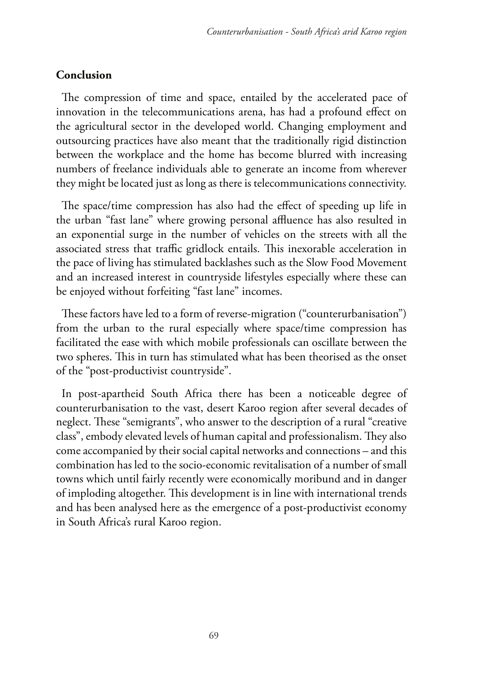# **Conclusion**

The compression of time and space, entailed by the accelerated pace of innovation in the telecommunications arena, has had a profound effect on the agricultural sector in the developed world. Changing employment and outsourcing practices have also meant that the traditionally rigid distinction between the workplace and the home has become blurred with increasing numbers of freelance individuals able to generate an income from wherever they might be located just as long as there is telecommunications connectivity.

The space/time compression has also had the effect of speeding up life in the urban "fast lane" where growing personal affluence has also resulted in an exponential surge in the number of vehicles on the streets with all the associated stress that traffic gridlock entails. This inexorable acceleration in the pace of living has stimulated backlashes such as the Slow Food Movement and an increased interest in countryside lifestyles especially where these can be enjoyed without forfeiting "fast lane" incomes.

These factors have led to a form of reverse-migration ("counterurbanisation") from the urban to the rural especially where space/time compression has facilitated the ease with which mobile professionals can oscillate between the two spheres. This in turn has stimulated what has been theorised as the onset of the "post-productivist countryside".

In post-apartheid South Africa there has been a noticeable degree of counterurbanisation to the vast, desert Karoo region after several decades of neglect. These "semigrants", who answer to the description of a rural "creative class", embody elevated levels of human capital and professionalism. They also come accompanied by their social capital networks and connections – and this combination has led to the socio-economic revitalisation of a number of small towns which until fairly recently were economically moribund and in danger of imploding altogether. This development is in line with international trends and has been analysed here as the emergence of a post-productivist economy in South Africa's rural Karoo region.